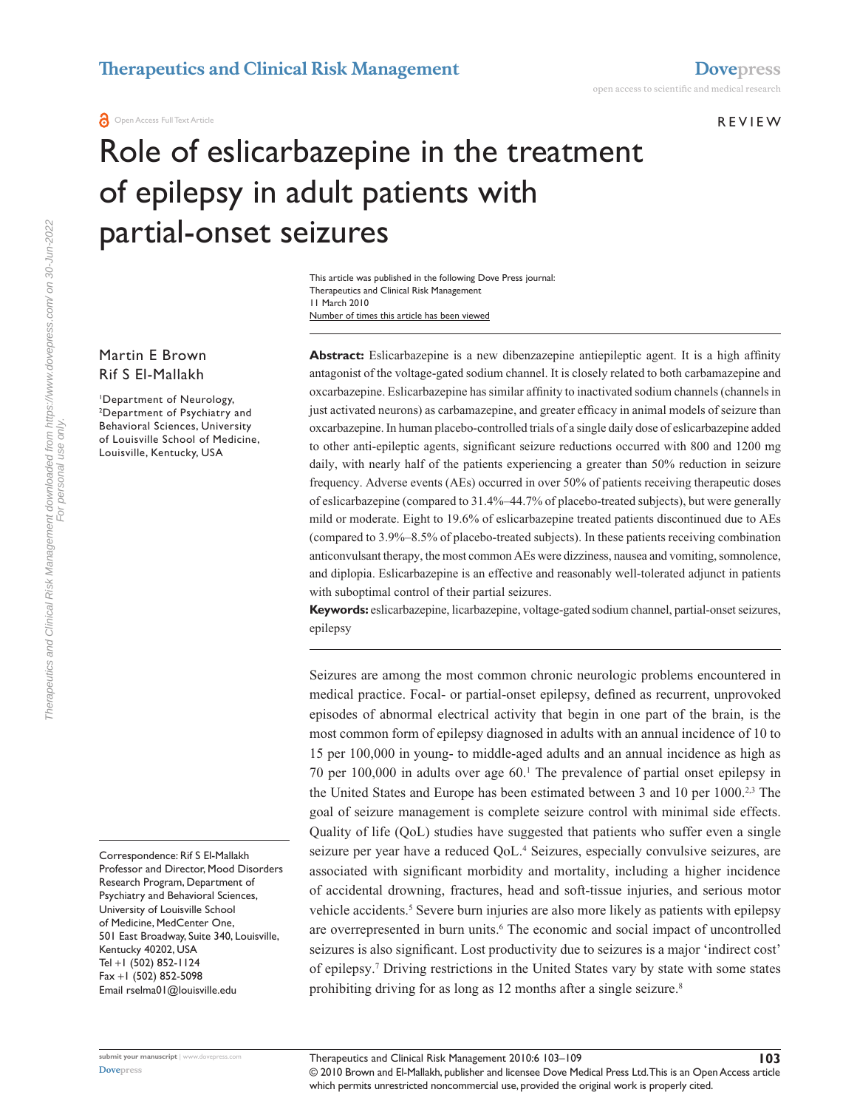**A** Open Access Full Text Article

**REVIEW** 

# Role of eslicarbazepine in the treatment of epilepsy in adult patients with partial-onset seizures

Number of times this article has been viewed This article was published in the following Dove Press journal: Therapeutics and Clinical Risk Management 11 March 2010

Martin E Brown Rif S El-Mallakh

1 Department of Neurology, 2 Department of Psychiatry and Behavioral Sciences, University of Louisville School of Medicine, Louisville, Kentucky, USA

Correspondence: Rif S El-Mallakh Professor and Director, Mood Disorders Research Program, Department of Psychiatry and Behavioral Sciences, University of Louisville School of Medicine, MedCenter One, 501 East Broadway, Suite 340, Louisville, Kentucky 40202, USA Tel +1 (502) 852-1124 Fax +1 (502) 852-5098 Email rselma01@louisville.edu

**Abstract:** Eslicarbazepine is a new dibenzazepine antiepileptic agent. It is a high affinity antagonist of the voltage-gated sodium channel. It is closely related to both carbamazepine and oxcarbazepine. Eslicarbazepine has similar affinity to inactivated sodium channels (channels in just activated neurons) as carbamazepine, and greater efficacy in animal models of seizure than oxcarbazepine. In human placebo-controlled trials of a single daily dose of eslicarbazepine added to other anti-epileptic agents, significant seizure reductions occurred with 800 and 1200 mg daily, with nearly half of the patients experiencing a greater than 50% reduction in seizure frequency. Adverse events (AEs) occurred in over 50% of patients receiving therapeutic doses of eslicarbazepine (compared to 31.4%–44.7% of placebo-treated subjects), but were generally mild or moderate. Eight to 19.6% of eslicarbazepine treated patients discontinued due to AEs (compared to 3.9%–8.5% of placebo-treated subjects). In these patients receiving combination anticonvulsant therapy, the most common AEs were dizziness, nausea and vomiting, somnolence, and diplopia. Eslicarbazepine is an effective and reasonably well-tolerated adjunct in patients with suboptimal control of their partial seizures.

**Keywords:** eslicarbazepine, licarbazepine, voltage-gated sodium channel, partial-onset seizures, epilepsy

Seizures are among the most common chronic neurologic problems encountered in medical practice. Focal- or partial-onset epilepsy, defined as recurrent, unprovoked episodes of abnormal electrical activity that begin in one part of the brain, is the most common form of epilepsy diagnosed in adults with an annual incidence of 10 to 15 per 100,000 in young- to middle-aged adults and an annual incidence as high as 70 per 100,000 in adults over age 60.1 The prevalence of partial onset epilepsy in the United States and Europe has been estimated between 3 and 10 per 1000.<sup>2,3</sup> The goal of seizure management is complete seizure control with minimal side effects. Quality of life (QoL) studies have suggested that patients who suffer even a single seizure per year have a reduced QoL.<sup>4</sup> Seizures, especially convulsive seizures, are associated with significant morbidity and mortality, including a higher incidence of accidental drowning, fractures, head and soft-tissue injuries, and serious motor vehicle accidents.<sup>5</sup> Severe burn injuries are also more likely as patients with epilepsy are overrepresented in burn units.<sup>6</sup> The economic and social impact of uncontrolled seizures is also significant. Lost productivity due to seizures is a major 'indirect cost' of epilepsy.7 Driving restrictions in the United States vary by state with some states prohibiting driving for as long as 12 months after a single seizure.<sup>8</sup>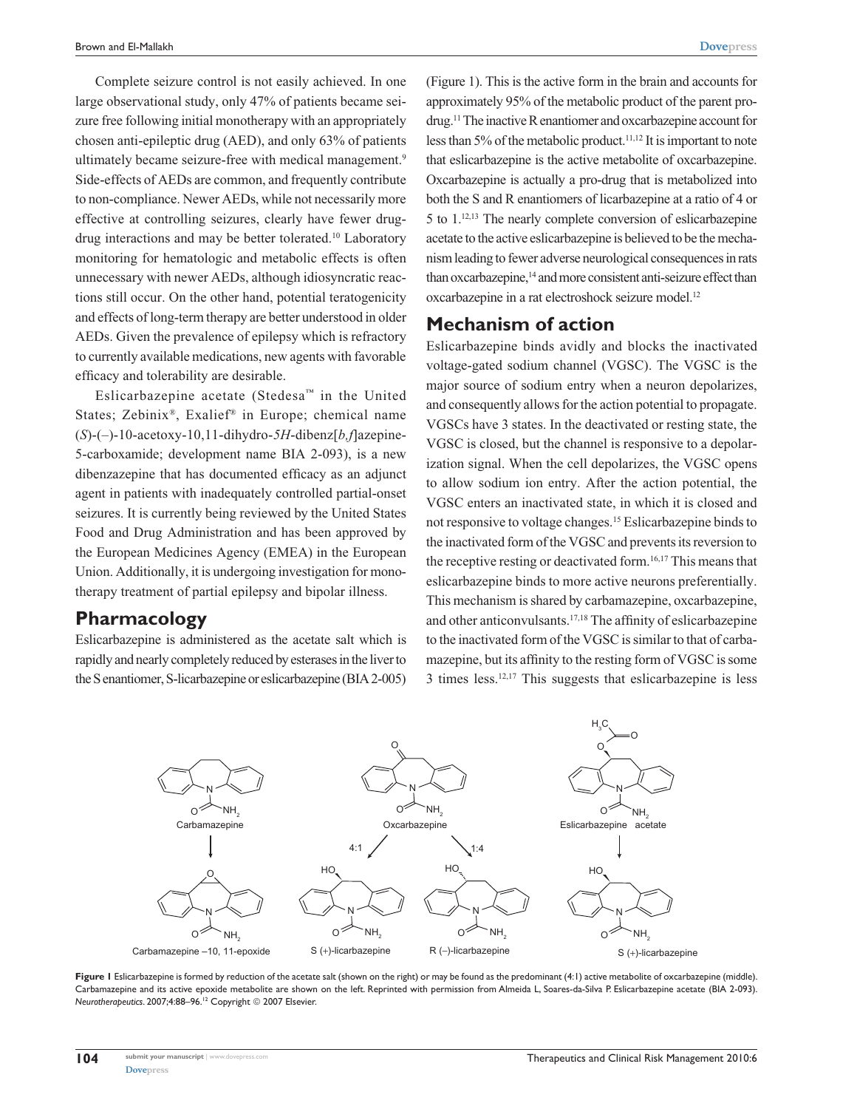Complete seizure control is not easily achieved. In one large observational study, only 47% of patients became seizure free following initial monotherapy with an appropriately chosen anti-epileptic drug (AED), and only 63% of patients ultimately became seizure-free with medical management.<sup>9</sup> Side-effects of AEDs are common, and frequently contribute to non-compliance. Newer AEDs, while not necessarily more effective at controlling seizures, clearly have fewer drugdrug interactions and may be better tolerated.10 Laboratory monitoring for hematologic and metabolic effects is often unnecessary with newer AEDs, although idiosyncratic reactions still occur. On the other hand, potential teratogenicity and effects of long-term therapy are better understood in older AEDs. Given the prevalence of epilepsy which is refractory to currently available medications, new agents with favorable efficacy and tolerability are desirable.

Eslicarbazepine acetate (Stedesa™ in the United States; Zebinix®, Exalief® in Europe; chemical name (*S*)-(–)-10-acetoxy-10,11-dihydro-*5H*-dibenz[*b,f*]azepine-5-carboxamide; development name BIA 2-093), is a new dibenzazepine that has documented efficacy as an adjunct agent in patients with inadequately controlled partial-onset seizures. It is currently being reviewed by the United States Food and Drug Administration and has been approved by the European Medicines Agency (EMEA) in the European Union. Additionally, it is undergoing investigation for monotherapy treatment of partial epilepsy and bipolar illness.

#### **Pharmacology**

Eslicarbazepine is administered as the acetate salt which is rapidly and nearly completely reduced by esterases in the liver to the S enantiomer, S-licarbazepine or eslicarbazepine (BIA 2-005)

(Figure 1). This is the active form in the brain and accounts for approximately 95% of the metabolic product of the parent prodrug.11 The inactive R enantiomer and oxcarbazepine account for less than  $5\%$  of the metabolic product.<sup>11,12</sup> It is important to note that eslicarbazepine is the active metabolite of oxcarbazepine. Oxcarbazepine is actually a pro-drug that is metabolized into both the S and R enantiomers of licarbazepine at a ratio of 4 or 5 to 1.12,13 The nearly complete conversion of eslicarbazepine acetate to the active eslicarbazepine is believed to be the mechanism leading to fewer adverse neurological consequences in rats than oxcarbazepine,<sup>14</sup> and more consistent anti-seizure effect than oxcarbazepine in a rat electroshock seizure model.<sup>12</sup>

### **Mechanism of action**

Eslicarbazepine binds avidly and blocks the inactivated voltage-gated sodium channel (VGSC). The VGSC is the major source of sodium entry when a neuron depolarizes, and consequently allows for the action potential to propagate. VGSCs have 3 states. In the deactivated or resting state, the VGSC is closed, but the channel is responsive to a depolarization signal. When the cell depolarizes, the VGSC opens to allow sodium ion entry. After the action potential, the VGSC enters an inactivated state, in which it is closed and not responsive to voltage changes.15 Eslicarbazepine binds to the inactivated form of the VGSC and prevents its reversion to the receptive resting or deactivated form.16,17 This means that eslicarbazepine binds to more active neurons preferentially. This mechanism is shared by carbamazepine, oxcarbazepine, and other anticonvulsants.17,18 The affinity of eslicarbazepine to the inactivated form of the VGSC is similar to that of carbamazepine, but its affinity to the resting form of VGSC is some 3 times less.12,17 This suggests that eslicarbazepine is less



Figure I Eslicarbazepine is formed by reduction of the acetate salt (shown on the right) or may be found as the predominant (4:1) active metabolite of oxcarbazepine (middle). Carbamazepine and its active epoxide metabolite are shown on the left. Reprinted with permission from Almeida L, Soares-da-Silva P. Eslicarbazepine acetate (BIA 2-093). *Neurotherapeutics.* 2007;4:88-96.<sup>12</sup> Copyright © 2007 Elsevier.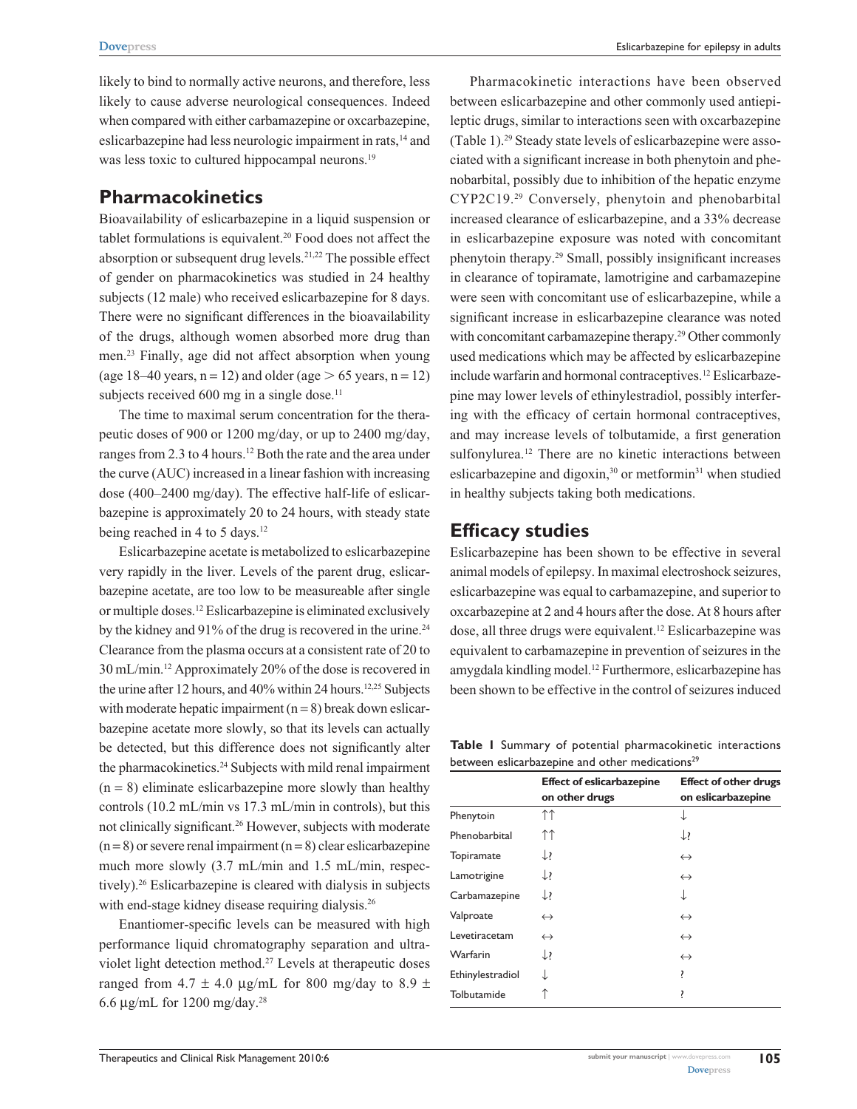likely to bind to normally active neurons, and therefore, less likely to cause adverse neurological consequences. Indeed when compared with either carbamazepine or oxcarbazepine, eslicarbazepine had less neurologic impairment in rats,14 and was less toxic to cultured hippocampal neurons.<sup>19</sup>

# **Pharmacokinetics**

Bioavailability of eslicarbazepine in a liquid suspension or tablet formulations is equivalent.<sup>20</sup> Food does not affect the absorption or subsequent drug levels.21,22 The possible effect of gender on pharmacokinetics was studied in 24 healthy subjects (12 male) who received eslicarbazepine for 8 days. There were no significant differences in the bioavailability of the drugs, although women absorbed more drug than men.23 Finally, age did not affect absorption when young (age 18–40 years,  $n = 12$ ) and older (age  $> 65$  years,  $n = 12$ ) subjects received  $600$  mg in a single dose.<sup>11</sup>

The time to maximal serum concentration for the therapeutic doses of 900 or 1200 mg/day, or up to 2400 mg/day, ranges from 2.3 to 4 hours.<sup>12</sup> Both the rate and the area under the curve (AUC) increased in a linear fashion with increasing dose (400–2400 mg/day). The effective half-life of eslicarbazepine is approximately 20 to 24 hours, with steady state being reached in 4 to 5 days.<sup>12</sup>

Eslicarbazepine acetate is metabolized to eslicarbazepine very rapidly in the liver. Levels of the parent drug, eslicarbazepine acetate, are too low to be measureable after single or multiple doses.12 Eslicarbazepine is eliminated exclusively by the kidney and 91% of the drug is recovered in the urine.<sup>24</sup> Clearance from the plasma occurs at a consistent rate of 20 to 30 mL/min.12 Approximately 20% of the dose is recovered in the urine after 12 hours, and 40% within 24 hours.<sup>12,25</sup> Subjects with moderate hepatic impairment  $(n = 8)$  break down eslicarbazepine acetate more slowly, so that its levels can actually be detected, but this difference does not significantly alter the pharmacokinetics.24 Subjects with mild renal impairment  $(n = 8)$  eliminate eslicarbazepine more slowly than healthy controls (10.2 mL/min vs 17.3 mL/min in controls), but this not clinically significant.26 However, subjects with moderate  $(n=8)$  or severe renal impairment  $(n=8)$  clear eslicarbazepine much more slowly (3.7 mL/min and 1.5 mL/min, respectively).26 Eslicarbazepine is cleared with dialysis in subjects with end-stage kidney disease requiring dialysis.<sup>26</sup>

Enantiomer-specific levels can be measured with high performance liquid chromatography separation and ultraviolet light detection method.27 Levels at therapeutic doses ranged from 4.7  $\pm$  4.0 µg/mL for 800 mg/day to 8.9  $\pm$ 6.6 µg/mL for 1200 mg/day.28

Pharmacokinetic interactions have been observed between eslicarbazepine and other commonly used antiepileptic drugs, similar to interactions seen with oxcarbazepine (Table 1).29 Steady state levels of eslicarbazepine were associated with a significant increase in both phenytoin and phenobarbital, possibly due to inhibition of the hepatic enzyme CYP2C19.29 Conversely, phenytoin and phenobarbital increased clearance of eslicarbazepine, and a 33% decrease in eslicarbazepine exposure was noted with concomitant phenytoin therapy.29 Small, possibly insignificant increases in clearance of topiramate, lamotrigine and carbamazepine were seen with concomitant use of eslicarbazepine, while a significant increase in eslicarbazepine clearance was noted with concomitant carbamazepine therapy.<sup>29</sup> Other commonly used medications which may be affected by eslicarbazepine include warfarin and hormonal contraceptives.<sup>12</sup> Eslicarbazepine may lower levels of ethinylestradiol, possibly interfering with the efficacy of certain hormonal contraceptives, and may increase levels of tolbutamide, a first generation sulfonylurea.<sup>12</sup> There are no kinetic interactions between eslicarbazepine and digoxin,<sup>30</sup> or metformin<sup>31</sup> when studied in healthy subjects taking both medications.

## **Efficacy studies**

Eslicarbazepine has been shown to be effective in several animal models of epilepsy. In maximal electroshock seizures, eslicarbazepine was equal to carbamazepine, and superior to oxcarbazepine at 2 and 4 hours after the dose. At 8 hours after dose, all three drugs were equivalent.<sup>12</sup> Eslicarbazepine was equivalent to carbamazepine in prevention of seizures in the amygdala kindling model.12 Furthermore, eslicarbazepine has been shown to be effective in the control of seizures induced

**Table 1** Summary of potential pharmacokinetic interactions between eslicarbazepine and other medications<sup>29</sup>

|                  | <b>Effect of eslicarbazepine</b><br>on other drugs | <b>Effect of other drugs</b><br>on eslicarbazepine |
|------------------|----------------------------------------------------|----------------------------------------------------|
| Phenytoin        | ↑↑                                                 | ↓                                                  |
| Phenobarbital    | ↑↑                                                 | $\downarrow$ ?                                     |
| Topiramate       | $\downarrow$                                       | $\leftrightarrow$                                  |
| Lamotrigine      | $\downarrow$                                       | $\leftrightarrow$                                  |
| Carbamazepine    | $\downarrow$                                       | ↓                                                  |
| Valproate        | $\leftrightarrow$                                  | $\leftrightarrow$                                  |
| Levetiracetam    | $\leftrightarrow$                                  | $\leftrightarrow$                                  |
| Warfarin         | $\downarrow$                                       | $\leftrightarrow$                                  |
| Ethinylestradiol |                                                    | ŗ                                                  |
| Tolbutamide      |                                                    | ŗ                                                  |
|                  |                                                    |                                                    |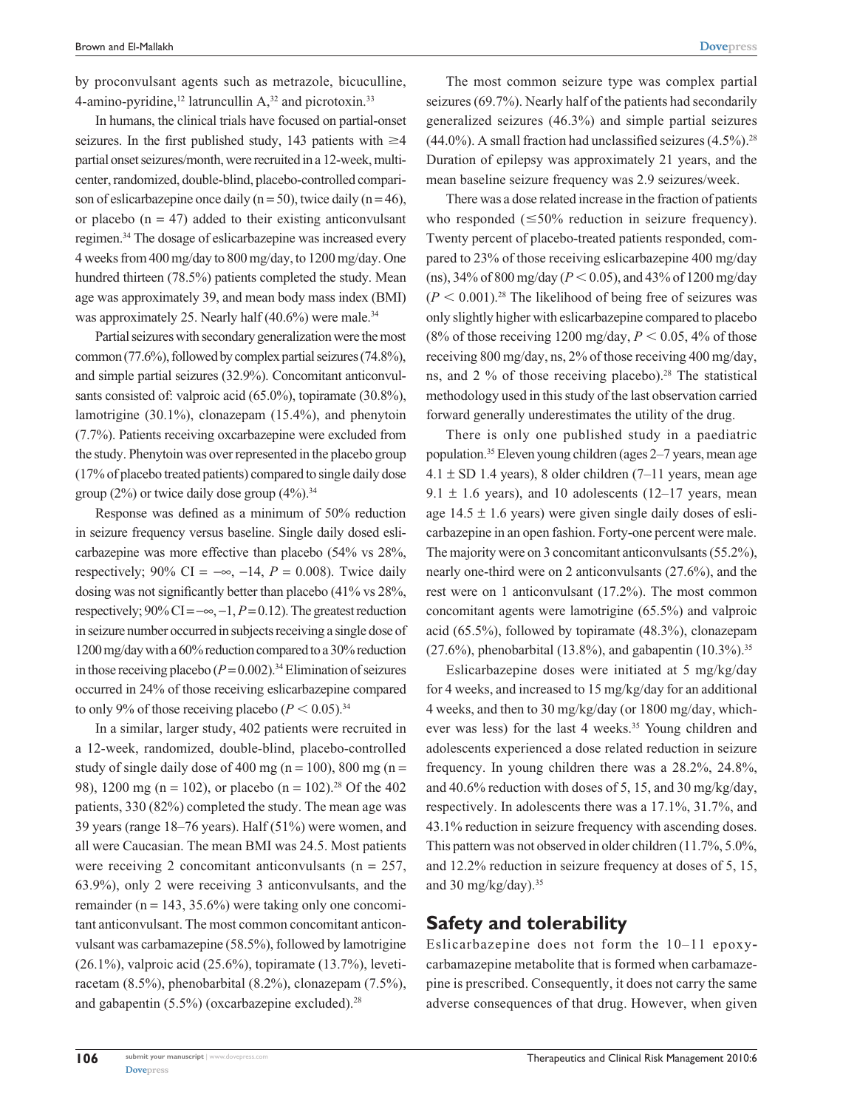by proconvulsant agents such as metrazole, bicuculline, 4-amino-pyridine,<sup>12</sup> latruncullin  $A<sub>1</sub><sup>32</sup>$  and picrotoxin.<sup>33</sup>

In humans, the clinical trials have focused on partial-onset seizures. In the first published study, 143 patients with  $\geq$ 4 partial onset seizures/month, were recruited in a 12-week, multicenter, randomized, double-blind, placebo-controlled comparison of eslicarbazepine once daily ( $n = 50$ ), twice daily ( $n = 46$ ), or placebo  $(n = 47)$  added to their existing anticonvulsant regimen.34 The dosage of eslicarbazepine was increased every 4 weeks from 400 mg/day to 800 mg/day, to 1200 mg/day. One hundred thirteen (78.5%) patients completed the study. Mean age was approximately 39, and mean body mass index (BMI) was approximately 25. Nearly half (40.6%) were male.<sup>34</sup>

Partial seizures with secondary generalization were the most common (77.6%), followed by complex partial seizures (74.8%), and simple partial seizures (32.9%). Concomitant anticonvulsants consisted of: valproic acid (65.0%), topiramate (30.8%), lamotrigine (30.1%), clonazepam (15.4%), and phenytoin (7.7%). Patients receiving oxcarbazepine were excluded from the study. Phenytoin was over represented in the placebo group (17% of placebo treated patients) compared to single daily dose group  $(2\%)$  or twice daily dose group  $(4\%)$ .<sup>34</sup>

Response was defined as a minimum of 50% reduction in seizure frequency versus baseline. Single daily dosed eslicarbazepine was more effective than placebo (54% vs 28%, respectively; 90% CI =  $-\infty$ , -14, *P* = 0.008). Twice daily dosing was not significantly better than placebo (41% vs 28%, respectively;  $90\%$  CI =  $-\infty$ ,  $-1$ ,  $P = 0.12$ ). The greatest reduction in seizure number occurred in subjects receiving a single dose of 1200 mg/day with a 60% reduction compared to a 30% reduction in those receiving placebo  $(P= 0.002)$ .<sup>34</sup> Elimination of seizures occurred in 24% of those receiving eslicarbazepine compared to only 9% of those receiving placebo  $(P < 0.05)^{34}$ 

In a similar, larger study, 402 patients were recruited in a 12-week, randomized, double-blind, placebo-controlled study of single daily dose of 400 mg (n = 100), 800 mg (n = 98), 1200 mg (n = 102), or placebo (n = 102).<sup>28</sup> Of the 402 patients, 330 (82%) completed the study. The mean age was 39 years (range 18–76 years). Half (51%) were women, and all were Caucasian. The mean BMI was 24.5. Most patients were receiving 2 concomitant anticonvulsants ( $n = 257$ , 63.9%), only 2 were receiving 3 anticonvulsants, and the remainder ( $n = 143, 35.6\%$ ) were taking only one concomitant anticonvulsant. The most common concomitant anticonvulsant was carbamazepine (58.5%), followed by lamotrigine (26.1%), valproic acid (25.6%), topiramate (13.7%), levetiracetam (8.5%), phenobarbital (8.2%), clonazepam (7.5%), and gabapentin  $(5.5\%)$  (oxcarbazepine excluded).<sup>28</sup>

**submit your manuscript** | <www.dovepress.com>

**[Dovepress](www.dovepress.com)** 

The most common seizure type was complex partial seizures (69.7%). Nearly half of the patients had secondarily generalized seizures (46.3%) and simple partial seizures  $(44.0\%)$ . A small fraction had unclassified seizures  $(4.5\%)$ .<sup>28</sup> Duration of epilepsy was approximately 21 years, and the mean baseline seizure frequency was 2.9 seizures/week.

There was a dose related increase in the fraction of patients who responded  $(\leq 50\%$  reduction in seizure frequency). Twenty percent of placebo-treated patients responded, compared to 23% of those receiving eslicarbazepine 400 mg/day (ns),  $34\%$  of 800 mg/day ( $P < 0.05$ ), and  $43\%$  of 1200 mg/day  $(P < 0.001)$ <sup>28</sup>. The likelihood of being free of seizures was only slightly higher with eslicarbazepine compared to placebo (8% of those receiving 1200 mg/day,  $P < 0.05$ , 4% of those receiving 800 mg/day, ns, 2% of those receiving 400 mg/day, ns, and 2  $\%$  of those receiving placebo).<sup>28</sup> The statistical methodology used in this study of the last observation carried forward generally underestimates the utility of the drug.

There is only one published study in a paediatric population.35 Eleven young children (ages 2–7 years, mean age  $4.1 \pm SD$  1.4 years), 8 older children (7–11 years, mean age 9.1  $\pm$  1.6 years), and 10 adolescents (12–17 years, mean age  $14.5 \pm 1.6$  years) were given single daily doses of eslicarbazepine in an open fashion. Forty-one percent were male. The majority were on 3 concomitant anticonvulsants (55.2%), nearly one-third were on 2 anticonvulsants (27.6%), and the rest were on 1 anticonvulsant (17.2%). The most common concomitant agents were lamotrigine (65.5%) and valproic acid (65.5%), followed by topiramate (48.3%), clonazepam  $(27.6\%)$ , phenobarbital  $(13.8\%)$ , and gabapentin  $(10.3\%)$ <sup>35</sup>

Eslicarbazepine doses were initiated at 5 mg/kg/day for 4 weeks, and increased to 15 mg/kg/day for an additional 4 weeks, and then to 30 mg/kg/day (or 1800 mg/day, whichever was less) for the last 4 weeks.<sup>35</sup> Young children and adolescents experienced a dose related reduction in seizure frequency. In young children there was a 28.2%, 24.8%, and 40.6% reduction with doses of 5, 15, and 30 mg/kg/day, respectively. In adolescents there was a 17.1%, 31.7%, and 43.1% reduction in seizure frequency with ascending doses. This pattern was not observed in older children (11.7%, 5.0%, and 12.2% reduction in seizure frequency at doses of 5, 15, and 30 mg/kg/day). $35$ 

#### **Safety and tolerability**

Eslicarbazepine does not form the 10–11 epoxycarbamazepine metabolite that is formed when carbamazepine is prescribed. Consequently, it does not carry the same adverse consequences of that drug. However, when given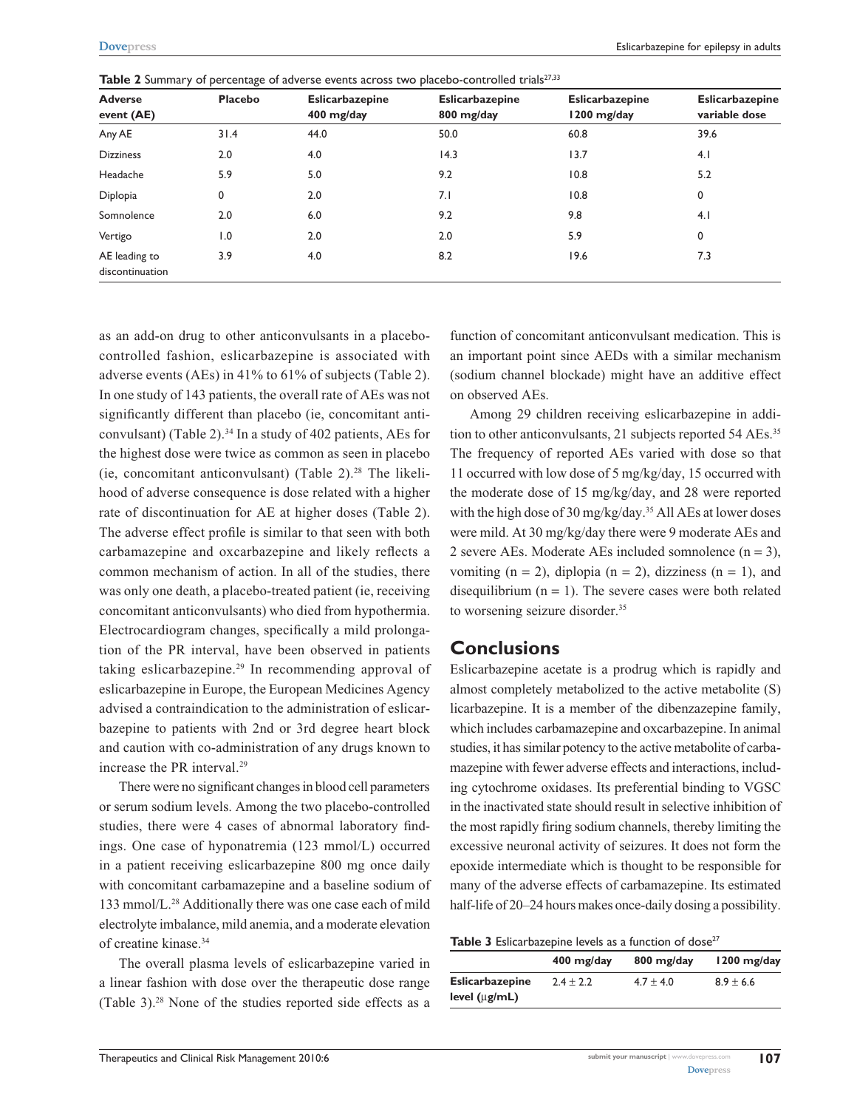| <b>Adverse</b><br>event (AE)     | <b>Placebo</b> | <b>Eslicarbazepine</b><br>400 mg/day | <b>Eslicarbazepine</b><br>800 mg/day | <b>Eslicarbazepine</b><br>1200 mg/day | <b>Eslicarbazepine</b><br>variable dose |
|----------------------------------|----------------|--------------------------------------|--------------------------------------|---------------------------------------|-----------------------------------------|
| Any AE                           | 31.4           | 44.0                                 | 50.0                                 | 60.8                                  | 39.6                                    |
| <b>Dizziness</b>                 | 2.0            | 4.0                                  | 14.3                                 | 13.7                                  | 4.1                                     |
| Headache                         | 5.9            | 5.0                                  | 9.2                                  | 10.8                                  | 5.2                                     |
| Diplopia                         | 0              | 2.0                                  | 7.1                                  | 10.8                                  | 0                                       |
| Somnolence                       | 2.0            | 6.0                                  | 9.2                                  | 9.8                                   | 4.1                                     |
| Vertigo                          | 1.0            | 2.0                                  | 2.0                                  | 5.9                                   | 0                                       |
| AE leading to<br>discontinuation | 3.9            | 4.0                                  | 8.2                                  | 19.6                                  | 7.3                                     |

Table 2 Summary of percentage of adverse events across two placebo-controlled trials<sup>27,33</sup>

as an add-on drug to other anticonvulsants in a placebocontrolled fashion, eslicarbazepine is associated with adverse events (AEs) in 41% to 61% of subjects (Table 2). In one study of 143 patients, the overall rate of AEs was not significantly different than placebo (ie, concomitant anticonvulsant) (Table 2).34 In a study of 402 patients, AEs for the highest dose were twice as common as seen in placebo (ie, concomitant anticonvulsant) (Table 2). $2^{8}$  The likelihood of adverse consequence is dose related with a higher rate of discontinuation for AE at higher doses (Table 2). The adverse effect profile is similar to that seen with both carbamazepine and oxcarbazepine and likely reflects a common mechanism of action. In all of the studies, there was only one death, a placebo-treated patient (ie, receiving concomitant anticonvulsants) who died from hypothermia. Electrocardiogram changes, specifically a mild prolongation of the PR interval, have been observed in patients taking eslicarbazepine.29 In recommending approval of eslicarbazepine in Europe, the European Medicines Agency advised a contraindication to the administration of eslicarbazepine to patients with 2nd or 3rd degree heart block and caution with co-administration of any drugs known to increase the PR interval.29

There were no significant changes in blood cell parameters or serum sodium levels. Among the two placebo-controlled studies, there were 4 cases of abnormal laboratory findings. One case of hyponatremia (123 mmol/L) occurred in a patient receiving eslicarbazepine 800 mg once daily with concomitant carbamazepine and a baseline sodium of 133 mmol/L.28 Additionally there was one case each of mild electrolyte imbalance, mild anemia, and a moderate elevation of creatine kinase.34

The overall plasma levels of eslicarbazepine varied in a linear fashion with dose over the therapeutic dose range (Table 3).28 None of the studies reported side effects as a function of concomitant anticonvulsant medication. This is an important point since AEDs with a similar mechanism (sodium channel blockade) might have an additive effect on observed AEs.

Among 29 children receiving eslicarbazepine in addition to other anticonvulsants, 21 subjects reported 54 AEs.<sup>35</sup> The frequency of reported AEs varied with dose so that 11 occurred with low dose of 5 mg/kg/day, 15 occurred with the moderate dose of 15 mg/kg/day, and 28 were reported with the high dose of 30 mg/kg/day.<sup>35</sup> All AEs at lower doses were mild. At 30 mg/kg/day there were 9 moderate AEs and 2 severe AEs. Moderate AEs included somnolence  $(n = 3)$ , vomiting  $(n = 2)$ , diplopia  $(n = 2)$ , dizziness  $(n = 1)$ , and disequilibrium  $(n = 1)$ . The severe cases were both related to worsening seizure disorder.<sup>35</sup>

## **Conclusions**

Eslicarbazepine acetate is a prodrug which is rapidly and almost completely metabolized to the active metabolite (S) licarbazepine. It is a member of the dibenzazepine family, which includes carbamazepine and oxcarbazepine. In animal studies, it has similar potency to the active metabolite of carbamazepine with fewer adverse effects and interactions, including cytochrome oxidases. Its preferential binding to VGSC in the inactivated state should result in selective inhibition of the most rapidly firing sodium channels, thereby limiting the excessive neuronal activity of seizures. It does not form the epoxide intermediate which is thought to be responsible for many of the adverse effects of carbamazepine. Its estimated half-life of 20–24 hours makes once-daily dosing a possibility.

|  | Table 3 Eslicarbazepine levels as a function of dose <sup>27</sup> |  |  |  |
|--|--------------------------------------------------------------------|--|--|--|
|--|--------------------------------------------------------------------|--|--|--|

| $400$ mg/day  | $800 \; mg/day$ | $1200$ mg/day |
|---------------|-----------------|---------------|
| $2.4 \pm 2.2$ | $4.7 \pm 4.0$   | $8.9 \pm 6.6$ |
|               |                 |               |
|               |                 |               |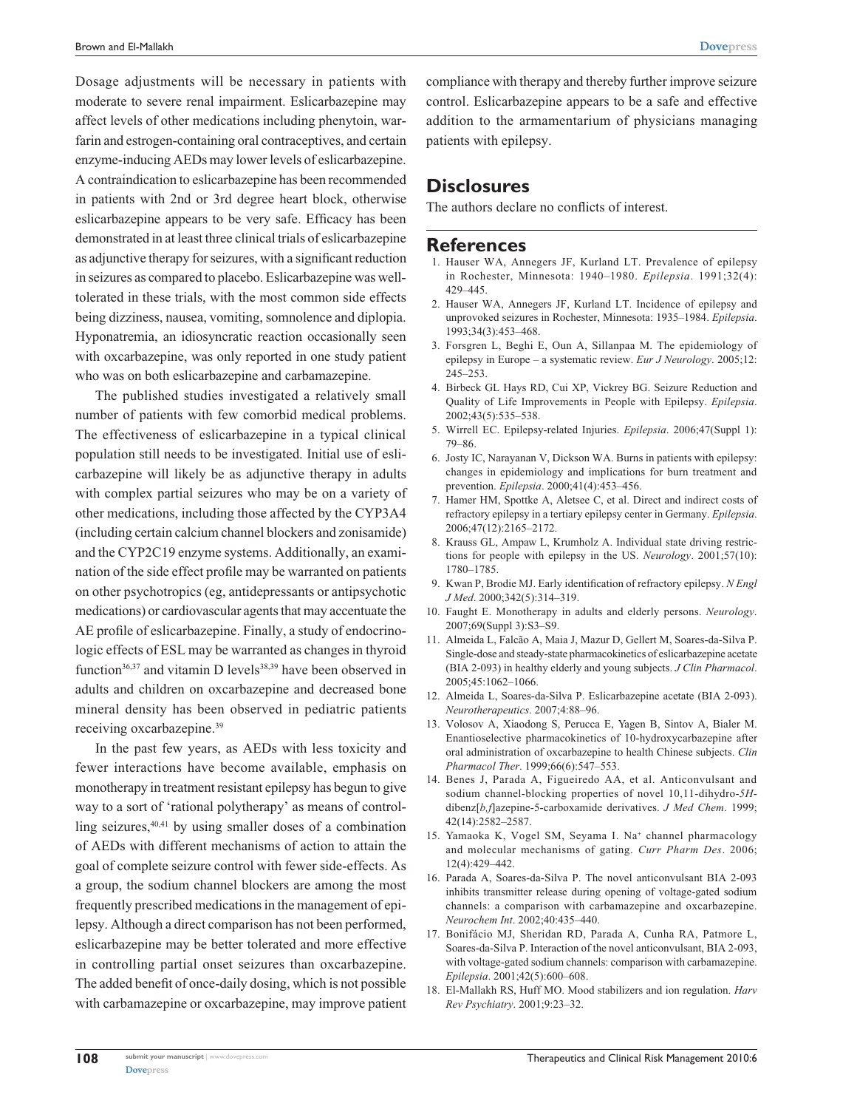Dosage adjustments will be necessary in patients with moderate to severe renal impairment. Eslicarbazepine may affect levels of other medications including phenytoin, warfarin and estrogen-containing oral contraceptives, and certain enzyme-inducing AEDs may lower levels of eslicarbazepine. A contraindication to eslicarbazepine has been recommended in patients with 2nd or 3rd degree heart block, otherwise eslicarbazepine appears to be very safe. Efficacy has been demonstrated in at least three clinical trials of eslicarbazepine as adjunctive therapy for seizures, with a significant reduction in seizures as compared to placebo. Eslicarbazepine was welltolerated in these trials, with the most common side effects being dizziness, nausea, vomiting, somnolence and diplopia. Hyponatremia, an idiosyncratic reaction occasionally seen with oxcarbazepine, was only reported in one study patient who was on both eslicarbazepine and carbamazepine.

The published studies investigated a relatively small number of patients with few comorbid medical problems. The effectiveness of eslicarbazepine in a typical clinical population still needs to be investigated. Initial use of eslicarbazepine will likely be as adjunctive therapy in adults with complex partial seizures who may be on a variety of other medications, including those affected by the CYP3A4 (including certain calcium channel blockers and zonisamide) and the CYP2C19 enzyme systems. Additionally, an examination of the side effect profile may be warranted on patients on other psychotropics (eg, antidepressants or antipsychotic medications) or cardiovascular agents that may accentuate the AE profile of eslicarbazepine. Finally, a study of endocrinologic effects of ESL may be warranted as changes in thyroid function $36,37$  and vitamin D levels $38,39$  have been observed in adults and children on oxcarbazepine and decreased bone mineral density has been observed in pediatric patients receiving oxcarbazepine.39

In the past few years, as AEDs with less toxicity and fewer interactions have become available, emphasis on monotherapy in treatment resistant epilepsy has begun to give way to a sort of 'rational polytherapy' as means of controlling seizures, $40,41$  by using smaller doses of a combination of AEDs with different mechanisms of action to attain the goal of complete seizure control with fewer side-effects. As a group, the sodium channel blockers are among the most frequently prescribed medications in the management of epilepsy. Although a direct comparison has not been performed, eslicarbazepine may be better tolerated and more effective in controlling partial onset seizures than oxcarbazepine. The added benefit of once-daily dosing, which is not possible with carbamazepine or oxcarbazepine, may improve patient compliance with therapy and thereby further improve seizure control. Eslicarbazepine appears to be a safe and effective addition to the armamentarium of physicians managing patients with epilepsy.

#### **Disclosures**

The authors declare no conflicts of interest.

#### **References**

- 1. Hauser WA, Annegers JF, Kurland LT. Prevalence of epilepsy in Rochester, Minnesota: 1940–1980. *Epilepsia*. 1991;32(4): 429–445.
- 2. Hauser WA, Annegers JF, Kurland LT. Incidence of epilepsy and unprovoked seizures in Rochester, Minnesota: 1935–1984. *Epilepsia*. 1993;34(3):453–468.
- 3. Forsgren L, Beghi E, Oun A, Sillanpaa M. The epidemiology of epilepsy in Europe – a systematic review. *Eur J Neurology*. 2005;12: 245–253.
- 4. Birbeck GL Hays RD, Cui XP, Vickrey BG. Seizure Reduction and Quality of Life Improvements in People with Epilepsy. *Epilepsia*. 2002;43(5):535–538.
- 5. Wirrell EC. Epilepsy-related Injuries. *Epilepsia*. 2006;47(Suppl 1): 79–86.
- 6. Josty IC, Narayanan V, Dickson WA. Burns in patients with epilepsy: changes in epidemiology and implications for burn treatment and prevention. *Epilepsia*. 2000;41(4):453–456.
- 7. Hamer HM, Spottke A, Aletsee C, et al. Direct and indirect costs of refractory epilepsy in a tertiary epilepsy center in Germany. *Epilepsia*. 2006;47(12):2165–2172.
- 8. Krauss GL, Ampaw L, Krumholz A. Individual state driving restrictions for people with epilepsy in the US. *Neurology*. 2001;57(10): 1780–1785.
- 9. Kwan P, Brodie MJ. Early identification of refractory epilepsy. *N Engl J Med*. 2000;342(5):314–319.
- 10. Faught E. Monotherapy in adults and elderly persons. *Neurology*. 2007;69(Suppl 3):S3–S9.
- 11. Almeida L, Falcão A, Maia J, Mazur D, Gellert M, Soares-da-Silva P. Single-dose and steady-state pharmacokinetics of eslicarbazepine acetate (BIA 2-093) in healthy elderly and young subjects. *J Clin Pharmacol*. 2005;45:1062–1066.
- 12. Almeida L, Soares-da-Silva P. Eslicarbazepine acetate (BIA 2-093). *Neurotherapeutics*. 2007;4:88–96.
- 13. Volosov A, Xiaodong S, Perucca E, Yagen B, Sintov A, Bialer M. Enantioselective pharmacokinetics of 10-hydroxycarbazepine after oral administration of oxcarbazepine to health Chinese subjects. *Clin Pharmacol Ther*. 1999;66(6):547–553.
- 14. Benes J, Parada A, Figueiredo AA, et al. Anticonvulsant and sodium channel-blocking properties of novel 10,11-dihydro-*5H*dibenz[*b,f*]azepine-5-carboxamide derivatives. *J Med Chem*. 1999; 42(14):2582–2587.
- 15. Yamaoka K, Vogel SM, Seyama I. Na<sup>+</sup> channel pharmacology and molecular mechanisms of gating. *Curr Pharm Des*. 2006; 12(4):429–442.
- 16. Parada A, Soares-da-Silva P. The novel anticonvulsant BIA 2-093 inhibits transmitter release during opening of voltage-gated sodium channels: a comparison with carbamazepine and oxcarbazepine. *Neurochem Int*. 2002;40:435–440.
- 17. Bonifácio MJ, Sheridan RD, Parada A, Cunha RA, Patmore L, Soares-da-Silva P. Interaction of the novel anticonvulsant, BIA 2-093, with voltage-gated sodium channels: comparison with carbamazepine. *Epilepsia*. 2001;42(5):600–608.
- 18. El-Mallakh RS, Huff MO. Mood stabilizers and ion regulation. *Harv Rev Psychiatry*. 2001;9:23–32.